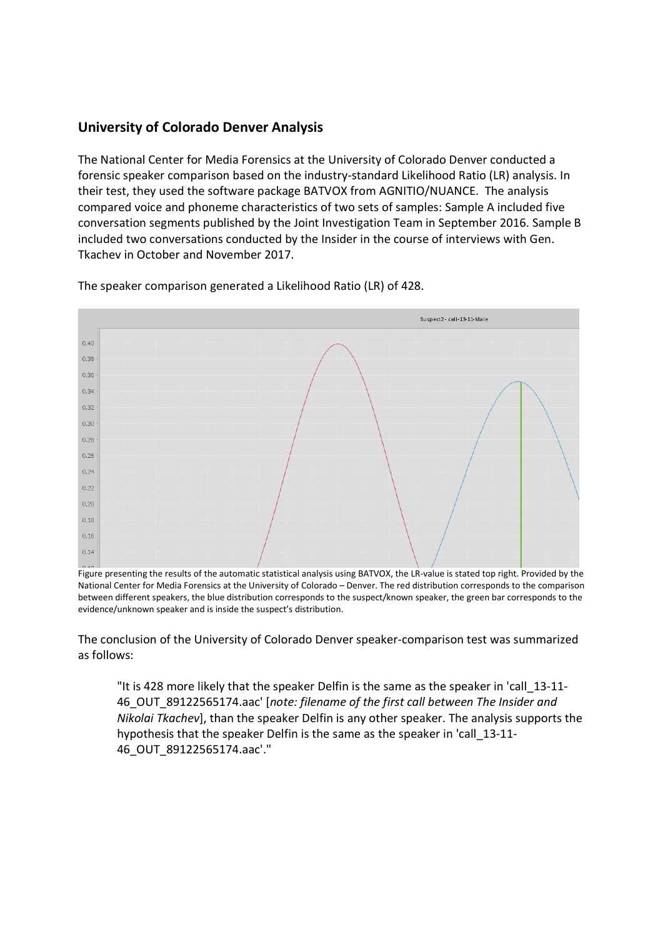## University of Colorado Denver Analysis

The National Center for Media Forensics at the University of Colorado Denver conducted a forensic speaker comparison based on the industry-standard Likelihood Ratio (LR) analysis. In their test, they used the software package BATVOX from AGNITIO/NUANCE. The analysis compared voice and phoneme characteristics of two sets of samples: Sample A included five conversation segments published by the Joint Investigation Team in September 2016. Sample B included two conversations conducted by the Insider in the course of interviews with Gen. Tkachev in October and November 2017.



The speaker comparison generated a Likelihood Ratio (LR) of 428.

The conclusion of the University of Colorado Denver speaker-comparison test was summarized as follows:

"It is 428 more likely that the speaker Delfin is the same as the speaker in 'call\_13-11- 46 OUT 89122565174.aac' [note: filename of the first call between The Insider and Nikolai Tkachev], than the speaker Delfin is any other speaker. The analysis supports the hypothesis that the speaker Delfin is the same as the speaker in 'call\_13-11- 46\_OUT\_89122565174.aac'."

Figure presenting the results of the automatic statistical analysis using BATVOX, the LR-value is stated top right. Provided by the National Center for Media Forensics at the University of Colorado – Denver. The red distribution corresponds to the comparison between different speakers, the blue distribution corresponds to the suspect/known speaker, the green bar corresponds to the evidence/unknown speaker and is inside the suspect's distribution.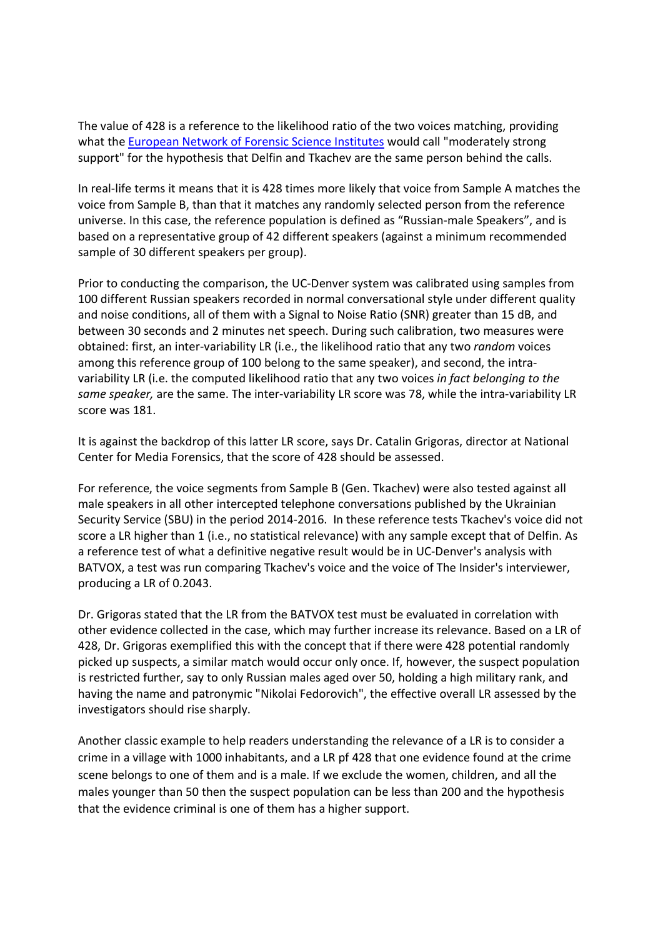The value of 428 is a reference to the likelihood ratio of the two voices matching, providing what the European Network of Forensic Science Institutes would call "moderately strong support" for the hypothesis that Delfin and Tkachev are the same person behind the calls.

In real-life terms it means that it is 428 times more likely that voice from Sample A matches the voice from Sample B, than that it matches any randomly selected person from the reference universe. In this case, the reference population is defined as "Russian-male Speakers", and is based on a representative group of 42 different speakers (against a minimum recommended sample of 30 different speakers per group).

Prior to conducting the comparison, the UC-Denver system was calibrated using samples from 100 different Russian speakers recorded in normal conversational style under different quality and noise conditions, all of them with a Signal to Noise Ratio (SNR) greater than 15 dB, and between 30 seconds and 2 minutes net speech. During such calibration, two measures were obtained: first, an inter-variability LR (i.e., the likelihood ratio that any two *random* voices among this reference group of 100 belong to the same speaker), and second, the intravariability LR (i.e. the computed likelihood ratio that any two voices in fact belonging to the same speaker, are the same. The inter-variability LR score was 78, while the intra-variability LR score was 181.

It is against the backdrop of this latter LR score, says Dr. Catalin Grigoras, director at National Center for Media Forensics, that the score of 428 should be assessed.

For reference, the voice segments from Sample B (Gen. Tkachev) were also tested against all male speakers in all other intercepted telephone conversations published by the Ukrainian Security Service (SBU) in the period 2014-2016. In these reference tests Tkachev's voice did not score a LR higher than 1 (i.e., no statistical relevance) with any sample except that of Delfin. As a reference test of what a definitive negative result would be in UC-Denver's analysis with BATVOX, a test was run comparing Tkachev's voice and the voice of The Insider's interviewer, producing a LR of 0.2043.

Dr. Grigoras stated that the LR from the BATVOX test must be evaluated in correlation with other evidence collected in the case, which may further increase its relevance. Based on a LR of 428, Dr. Grigoras exemplified this with the concept that if there were 428 potential randomly picked up suspects, a similar match would occur only once. If, however, the suspect population is restricted further, say to only Russian males aged over 50, holding a high military rank, and having the name and patronymic "Nikolai Fedorovich", the effective overall LR assessed by the investigators should rise sharply.

Another classic example to help readers understanding the relevance of a LR is to consider a crime in a village with 1000 inhabitants, and a LR pf 428 that one evidence found at the crime scene belongs to one of them and is a male. If we exclude the women, children, and all the males younger than 50 then the suspect population can be less than 200 and the hypothesis that the evidence criminal is one of them has a higher support.